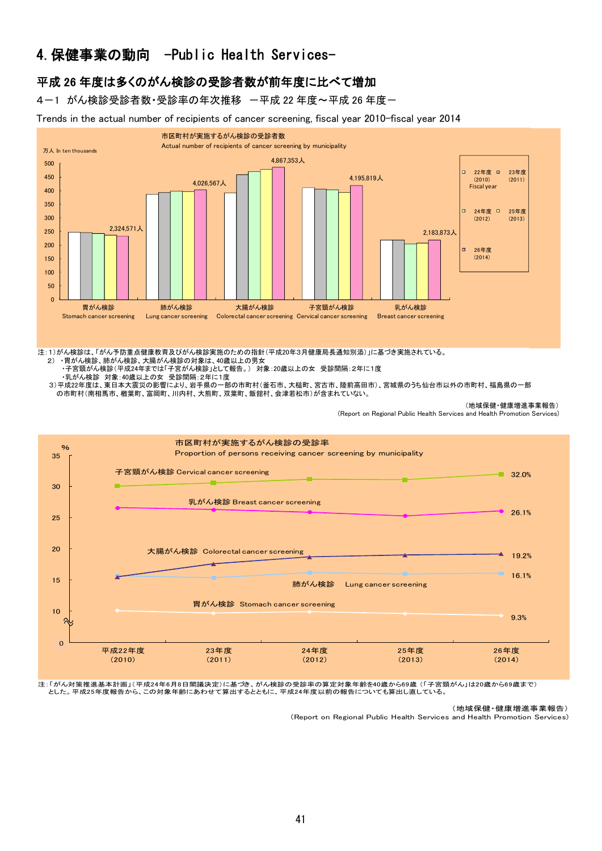# 4.保健事業の動向 -Public Health Services-

## 平成 26 年度は多くのがん検診の受診者数が前年度に比べて増加

4-1 がん検診受診者数・受診率の年次推移 一平成 22 年度~平成 26 年度-

Trends in the actual number of recipients of cancer screening, fiscal year 2010-fiscal year 2014



#### 注:1)がん検診は、「がん予防重点健康教育及びがん検診実施のための指針(平成20年3月健康局長通知別添)」に基づき実施されている。

- 2) ・胃がん検診、肺がん検診、大腸がん検診の対象は、40歳以上の男女 ・子宮頸がん検診(平成24年までは「子宮がん検診」として報告。) 対象:20歳以上の女 受診間隔:2年に1度 ・乳がん検診 対象:40歳以上の女 受診間隔:2年に1度
- 3)平成22年度は、東日本大震災の影響により、岩手県の一部の市町村(釜石市、大槌町、宮古市、陸前高田市)、宮城県のうち仙台市以外の市町村、福島県の一部 の市町村(南相馬市、楢葉町、富岡町、川内村、大熊町、双葉町、飯舘村、会津若松市)が含まれていない。

(地域保健・健康増進事業報告)

(Report on Regional Public Health Services and Health Promotion Services)



注:「がん対策推進基本計画」(平成24年6月8日閣議決定)に基づき、がん検診の受診率の算定対象年齢を40歳から69歳 (「子宮頸がん」は20歳から69歳まで) とした。平成25年度報告から、この対象年齢にあわせて算出するとともに、平成24年度以前の報告についても算出し直している。

(地域保健・健康増進事業報告)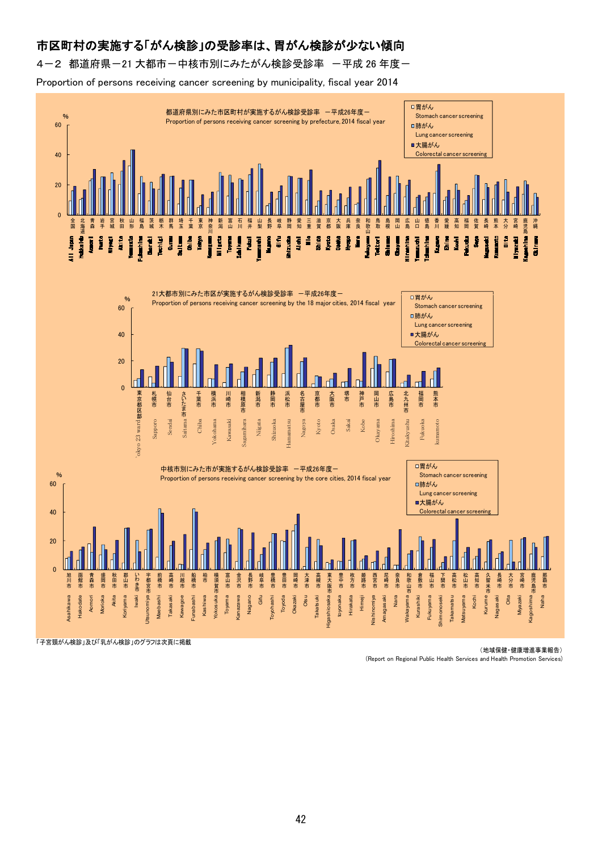# 市区町村の実施する「がん検診」の受診率は、胃がん検診が少ない傾向

4-2 都道府県-21 大都市-中核市別にみたがん検診受診率 -平成 26 年度-

Proportion of persons receiving cancer screening by municipality, fiscal year 2014



「子宮頸がん検診」及び「乳がん検診」のグラフは次頁に掲載

(地域保健・健康増進事業報告)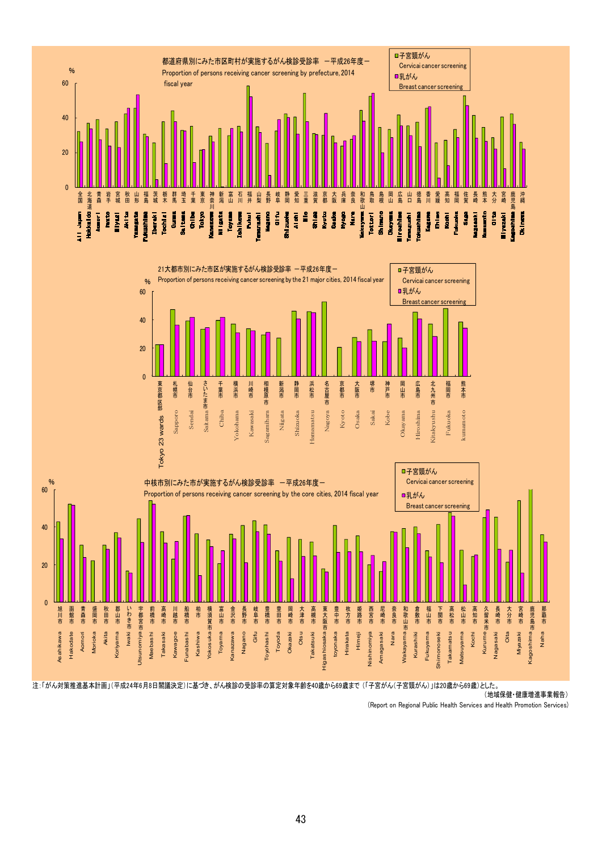



注:「がん対策推進基本計画」(平成24年6月8日閣議決定)に基づき、がん検診の受診率の算定対象年齢を40歳から69歳まで (「子宮がん(子宮頸がん)」は20歳から69歳)とした。

(地域保健・健康増進事業報告)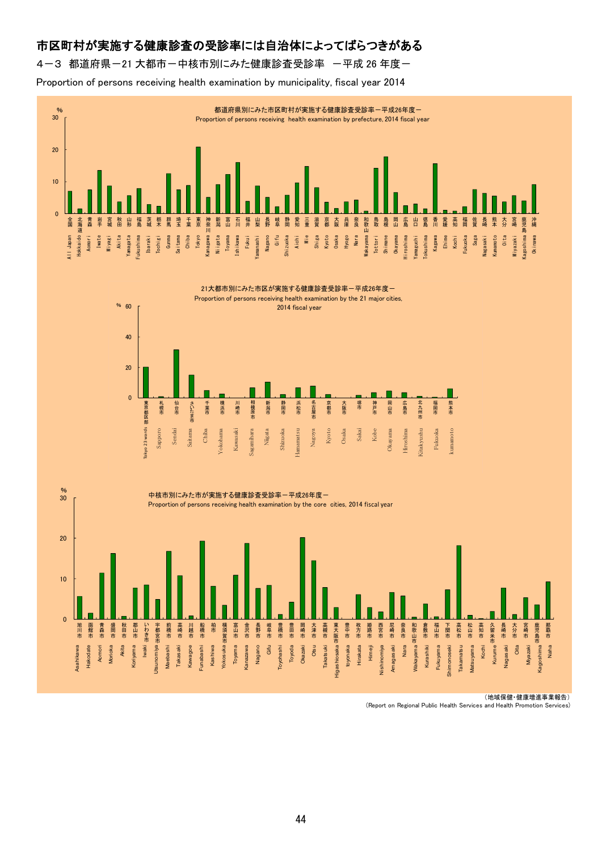## 市区町村が実施する健康診査の受診率には自治体によってばらつきがある

4-3 都道府県-21 大都市-中核市別にみた健康診査受診率 -平成 26 年度-

Proportion of persons receiving health examination by municipality, fiscal year 2014







(地域保健・健康増進事業報告)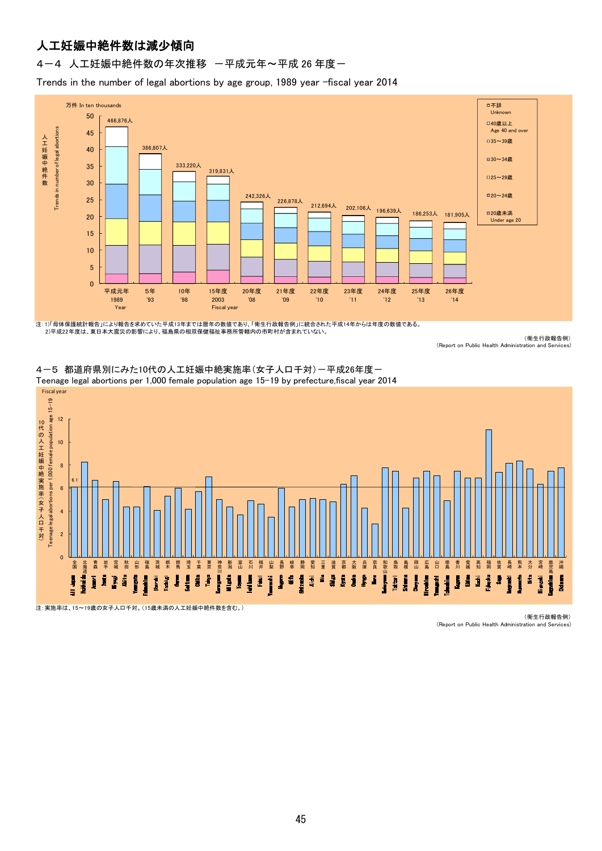# 人工妊娠中絶件数は減少傾向

### 4-4 人工妊娠中絶件数の年次推移 一平成元年~平成 26 年度一

Trends in the number of legal abortions by age group, 1989 year -fiscal year 2014



注:1)「母体保護統計報告」により報告を求めていた平成13年までは暦年の数値であり、「衛生行政報告例」に統合された平成14年からは年度の数値である。 2)平成22年度は、東日本大震災の影響により、福島県の相双保健福祉事務所管轄内の市町村が含まれていない。

(衛生行政報告例) (Report on Public Health Administration and Services)



4-5 都道府県別にみた10代の人工妊娠中絶実施率(女子人口千対)-平成26年度-

注:実施率は、15~19歳の女子人口千対。(15歳未満の人工妊娠中絶件数を含む。)

(衛生行政報告例) (Report on Public Health Administration and Services)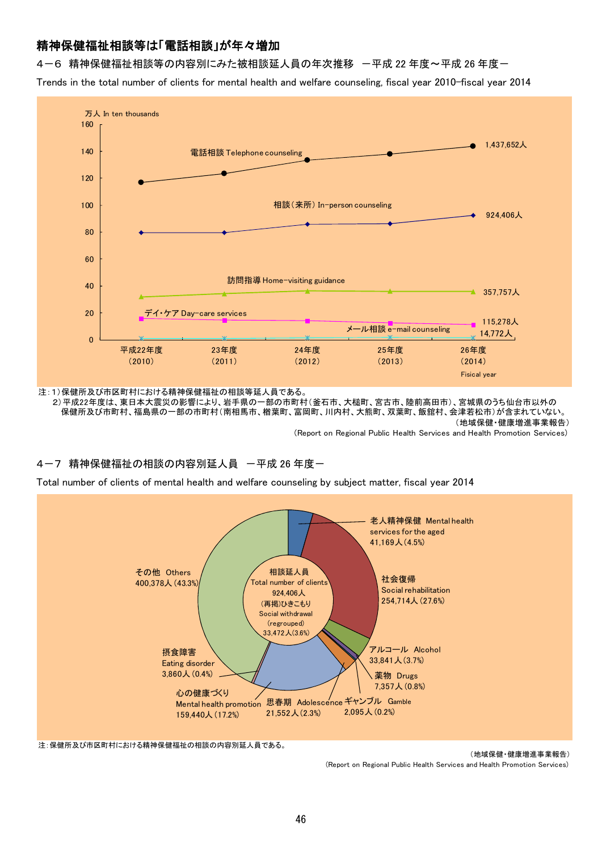## 精神保健福祉相談等は「電話相談」が年々増加

4-6 精神保健福祉相談等の内容別にみた被相談延人員の年次推移 -平成 22 年度~平成 26 年度-

Trends in the total number of clients for mental health and welfare counseling, fiscal year 2010-fiscal year 2014



注:1)保健所及び市区町村における精神保健福祉の相談等延人員である。

(地域保健・健康増進事業報告) (Report on Regional Public Health Services and Health Promotion Services) 2)平成22年度は、東日本大震災の影響により、岩手県の一部の市町村(釜石市、大槌町、宮古市、陸前高田市)、宮城県のうち仙台市以外の 保健所及び市町村、福島県の一部の市町村(南相馬市、楢葉町、富岡町、川内村、大熊町、双葉町、飯舘村、会津若松市)が含まれていない。

## 4-7 精神保健福祉の相談の内容別延人員 一平成 26 年度一

Total number of clients of mental health and welfare counseling by subject matter, fiscal year 2014



注:保健所及び市区町村における精神保健福祉の相談の内容別延人員である。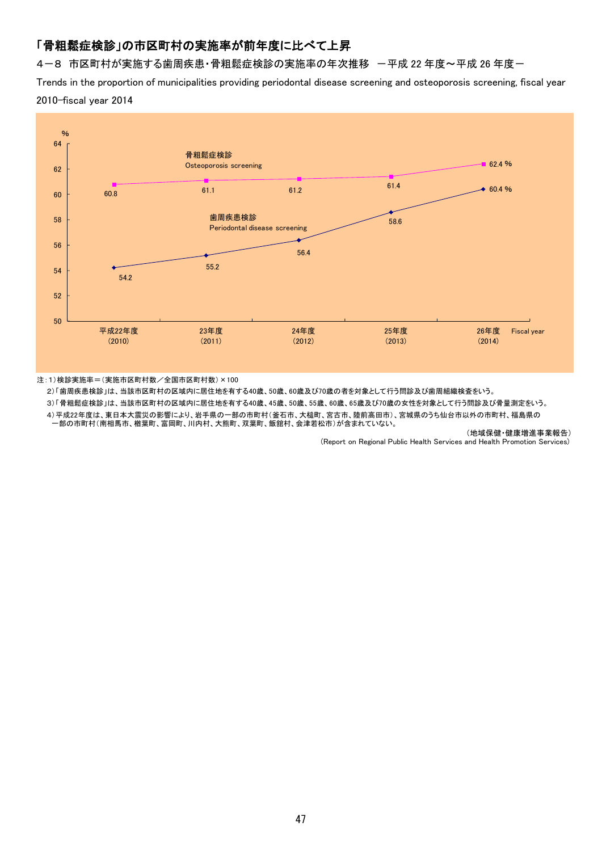## 「骨粗鬆症検診」の市区町村の実施率が前年度に比べて上昇

4-8 市区町村が実施する歯周疾患・骨粗鬆症検診の実施率の年次推移 -平成 22 年度~平成 26 年度-

Trends in the proportion of municipalities providing periodontal disease screening and osteoporosis screening, fiscal year 2010-fiscal year 2014



注:1)検診実施率=(実施市区町村数/全国市区町村数)×100

2)「歯周疾患検診」は、当該市区町村の区域内に居住地を有する40歳、50歳、60歳及び70歳の者を対象として行う問診及び歯周組織検査をいう。

3)「骨粗鬆症検診」は、当該市区町村の区域内に居住地を有する40歳、45歳、50歳、55歳、60歳、65歳及び70歳の女性を対象として行う問診及び骨量測定をいう。 4)平成22年度は、東日本大震災の影響により、岩手県の一部の市町村(釜石市、大槌町、宮古市、陸前高田市)、宮城県のうち仙台市以外の市町村、福島県の 一部の市町村(南相馬市、楢葉町、富岡町、川内村、大熊町、双葉町、飯舘村、会津若松市)が含まれていない。

(地域保健・健康増進事業報告)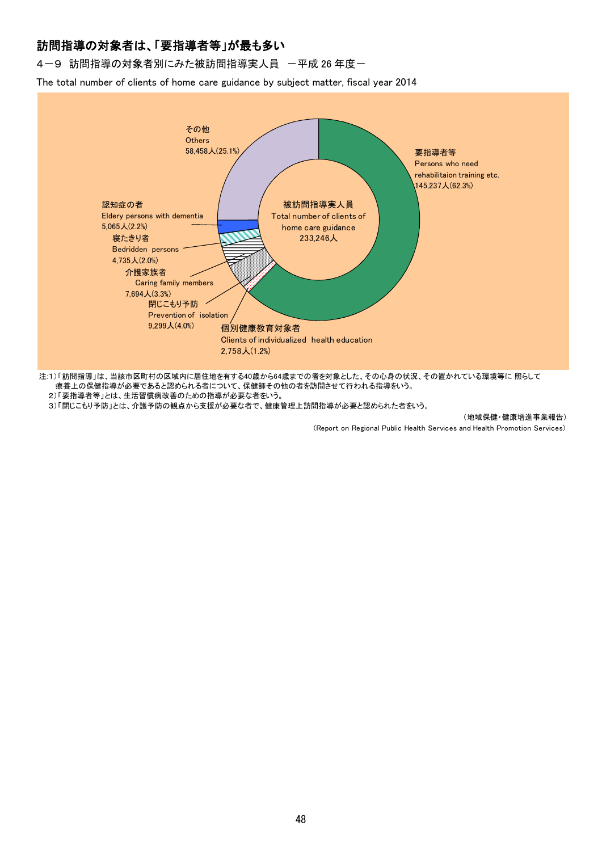## 訪問指導の対象者は、「要指導者等」が最も多い

4-9 訪問指導の対象者別にみた被訪問指導実人員 一平成 26 年度一

The total number of clients of home care guidance by subject matter, fiscal year 2014



療養上の保健指導が必要であると認められる者について、保健師その他の者を訪問させて行われる指導をいう。

2)「要指導者等」とは、生活習慣病改善のための指導が必要な者をいう。

3)「閉じこもり予防」とは、介護予防の観点から支援が必要な者で、健康管理上訪問指導が必要と認められた者をいう。

#### (地域保健・健康増進事業報告)